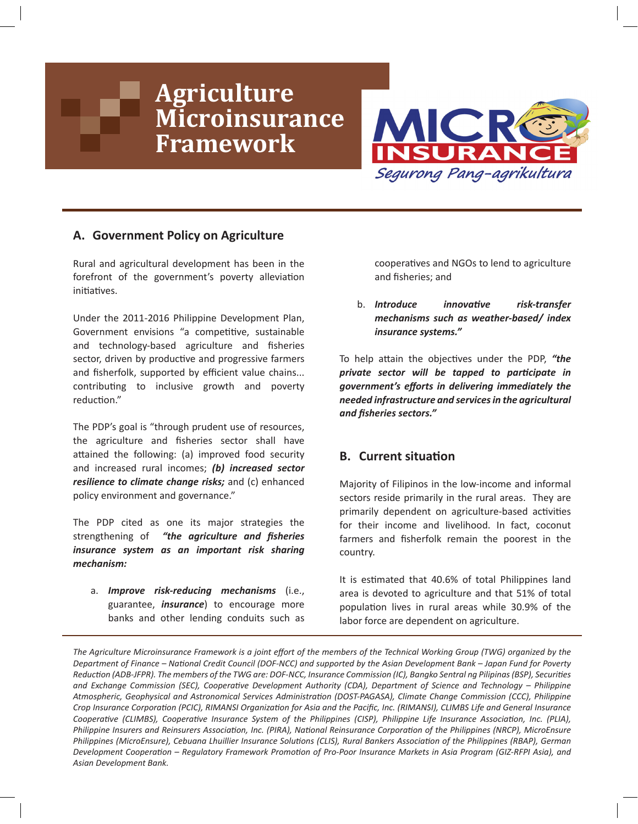# **Agriculture Microinsurance Framework**



# **A. Government Policy on Agriculture**

Rural and agricultural development has been in the forefront of the government's poverty alleviation initiatives.

Under the 2011-2016 Philippine Development Plan, Government envisions "a competitive, sustainable and technology-based agriculture and fsheries sector, driven by productive and progressive farmers and fisherfolk, supported by efficient value chains... contributing to inclusive growth and poverty reduction."

The PDP's goal is "through prudent use of resources, the agriculture and fisheries sector shall have attained the following: (a) improved food security and increased rural incomes; *(b) increased sector resilience to climate change risks;* and (c) enhanced policy environment and governance."

The PDP cited as one its major strategies the strengthening of *"the agriculture and fsheries insurance system as an important risk sharing mechanism:*

a. *Improve risk-reducing mechanisms* (i.e., guarantee, *insurance*) to encourage more banks and other lending conduits such as cooperatves and NGOs to lend to agriculture and fisheries; and

b. *Introduce innovatve risk-transfer mechanisms such as weather-based/ index insurance systems."*

To help attain the objectives under the PDP, "the *private sector will be tapped to partcipate in government's eforts in delivering immediately the needed infrastructure and services in the agricultural and fsheries sectors."*

# **B.** Current situation

Majority of Filipinos in the low-income and informal sectors reside primarily in the rural areas. They are primarily dependent on agriculture-based activities for their income and livelihood. In fact, coconut farmers and fsherfolk remain the poorest in the country.

It is estmated that 40.6% of total Philippines land area is devoted to agriculture and that 51% of total population lives in rural areas while 30.9% of the labor force are dependent on agriculture.

The Agriculture Microinsurance Framework is a joint effort of the members of the Technical Working Group (TWG) organized by the *Department of Finance – Natonal Credit Council (DOF-NCC) and supported by the Asian Development Bank – Japan Fund for Poverty Reducton (ADB-JFPR). The members of the TWG are: DOF-NCC, Insurance Commission (IC), Bangko Sentral ng Pilipinas (BSP), Securites and Exchange Commission (SEC), Cooperatve Development Authority (CDA), Department of Science and Technology – Philippine Atmospheric, Geophysical and Astronomical Services Administraton (DOST-PAGASA), Climate Change Commission (CCC), Philippine Crop Insurance Corporaton (PCIC), RIMANSI Organizaton for Asia and the Pacifc, Inc. (RIMANSI), CLIMBS Life and General Insurance Cooperatve (CLIMBS), Cooperatve Insurance System of the Philippines (CISP), Philippine Life Insurance Associaton, Inc. (PLIA), Philippine Insurers and Reinsurers Associaton, Inc. (PIRA), Natonal Reinsurance Corporaton of the Philippines (NRCP), MicroEnsure Philippines (MicroEnsure), Cebuana Lhuillier Insurance Solutons (CLIS), Rural Bankers Associaton of the Philippines (RBAP), German Development Cooperaton – Regulatory Framework Promoton of Pro-Poor Insurance Markets in Asia Program (GIZ-RFPI Asia), and Asian Development Bank.*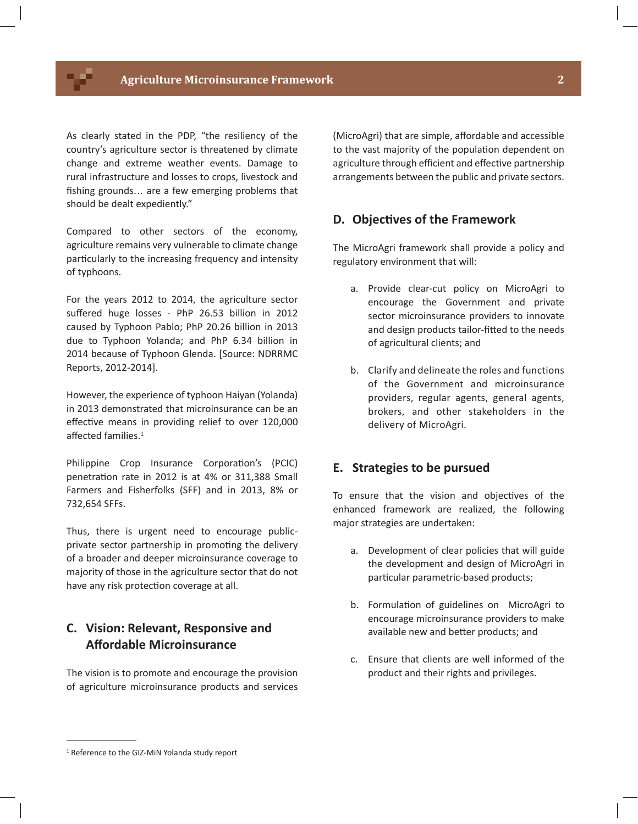As clearly stated in the PDP, "the resiliency of the country's agriculture sector is threatened by climate change and extreme weather events. Damage to rural infrastructure and losses to crops, livestock and fshing grounds... are a few emerging problems that should be dealt expediently."

Compared to other sectors of the economy, agriculture remains very vulnerable to climate change particularly to the increasing frequency and intensity of typhoons.

For the years 2012 to 2014, the agriculture sector suffered huge losses - PhP 26.53 billion in 2012 caused by Typhoon Pablo; PhP 20.26 billion in 2013 due to Typhoon Yolanda; and PhP 6.34 billion in 2014 because of Typhoon Glenda. [Source: NDRRMC Reports, 2012-2014].

However, the experience of typhoon Haiyan (Yolanda) in 2013 demonstrated that microinsurance can be an effective means in providing relief to over 120,000 affected families.<sup>1</sup>

Philippine Crop Insurance Corporation's (PCIC) penetraton rate in 2012 is at 4% or 311,388 Small Farmers and Fisherfolks (SFF) and in 2013, 8% or 732,654 SFFs.

Thus, there is urgent need to encourage publicprivate sector partnership in promoting the delivery of a broader and deeper microinsurance coverage to majority of those in the agriculture sector that do not have any risk protection coverage at all.

# **C. Vision: Relevant, Responsive and Afordable Microinsurance**

The vision is to promote and encourage the provision of agriculture microinsurance products and services

(MicroAgri) that are simple, affordable and accessible to the vast majority of the population dependent on agriculture through efficient and effective partnership arrangements between the public and private sectors.

## **D. Objectves of the Framework**

The MicroAgri framework shall provide a policy and regulatory environment that will:

- a. Provide clear-cut policy on MicroAgri to encourage the Government and private sector microinsurance providers to innovate and design products tailor-fitted to the needs of agricultural clients; and
- b. Clarify and delineate the roles and functions of the Government and microinsurance providers, regular agents, general agents, brokers, and other stakeholders in the delivery of MicroAgri.

## **E. Strategies to be pursued**

To ensure that the vision and objectives of the enhanced framework are realized, the following major strategies are undertaken:

- a. Development of clear policies that will guide the development and design of MicroAgri in particular parametric-based products;
- b. Formulation of guidelines on MicroAgri to encourage microinsurance providers to make available new and better products; and
- c. Ensure that clients are well informed of the product and their rights and privileges.

<sup>1</sup> Reference to the GIZ-MiN Yolanda study report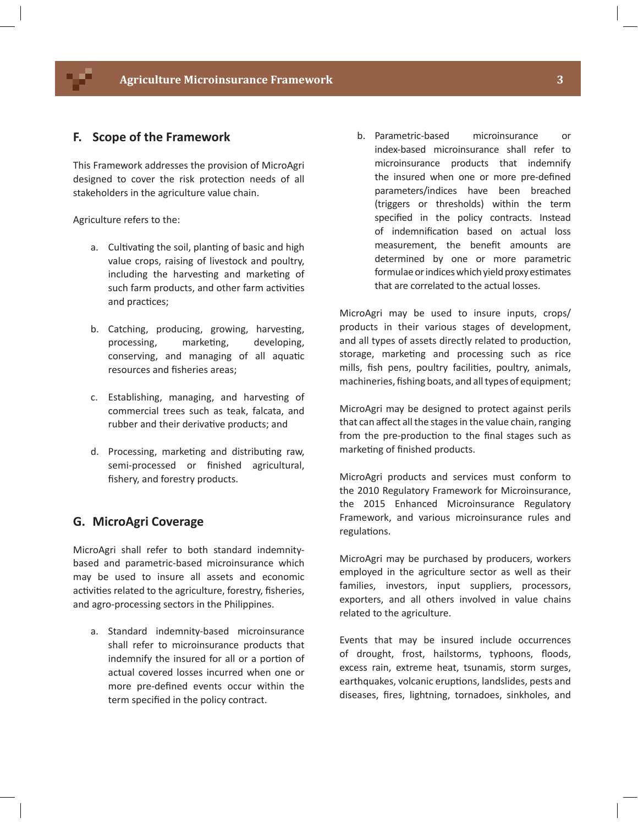## **F. Scope of the Framework**

This Framework addresses the provision of MicroAgri designed to cover the risk protection needs of all stakeholders in the agriculture value chain.

Agriculture refers to the:

- a. Cultivating the soil, planting of basic and high value crops, raising of livestock and poultry, including the harvesting and marketing of such farm products, and other farm activities and practices;
- b. Catching, producing, growing, harvesting, processing, marketing, developing, conserving, and managing of all aquatic resources and fisheries areas;
- c. Establishing, managing, and harvestng of commercial trees such as teak, falcata, and rubber and their derivative products; and
- d. Processing, marketing and distributing raw, semi-processed or finished agricultural, fishery, and forestry products.

## **G. MicroAgri Coverage**

MicroAgri shall refer to both standard indemnitybased and parametric-based microinsurance which may be used to insure all assets and economic activities related to the agriculture, forestry, fisheries, and agro-processing sectors in the Philippines.

a. Standard indemnity-based microinsurance shall refer to microinsurance products that indemnify the insured for all or a portion of actual covered losses incurred when one or more pre-defned events occur within the term specifed in the policy contract.

b. Parametric-based microinsurance or index-based microinsurance shall refer to microinsurance products that indemnify the insured when one or more pre-defned parameters/indices have been breached (triggers or thresholds) within the term specifed in the policy contracts. Instead of indemnification based on actual loss measurement, the beneft amounts are determined by one or more parametric formulae or indices which yield proxy estmates that are correlated to the actual losses.

MicroAgri may be used to insure inputs, crops/ products in their various stages of development, and all types of assets directly related to production, storage, marketing and processing such as rice mills, fish pens, poultry facilities, poultry, animals, machineries, fshing boats, and all types of equipment;

MicroAgri may be designed to protect against perils that can afect all the stages in the value chain, ranging from the pre-production to the final stages such as marketing of finished products.

MicroAgri products and services must conform to the 2010 Regulatory Framework for Microinsurance, the 2015 Enhanced Microinsurance Regulatory Framework, and various microinsurance rules and regulations.

MicroAgri may be purchased by producers, workers employed in the agriculture sector as well as their families, investors, input suppliers, processors, exporters, and all others involved in value chains related to the agriculture.

Events that may be insured include occurrences of drought, frost, hailstorms, typhoons, foods, excess rain, extreme heat, tsunamis, storm surges, earthquakes, volcanic eruptions, landslides, pests and diseases, fres, lightning, tornadoes, sinkholes, and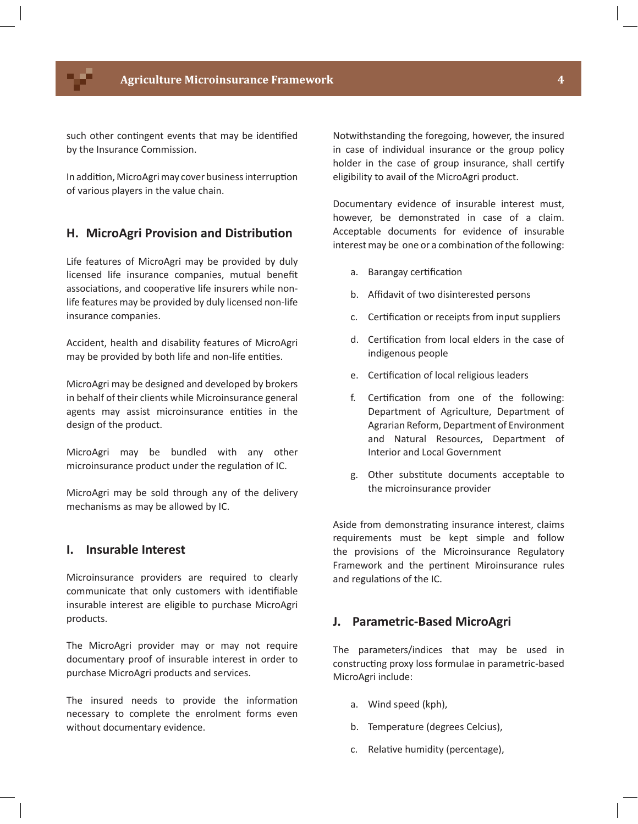such other contingent events that may be identified by the Insurance Commission.

In addition, MicroAgri may cover business interruption of various players in the value chain.

## **H. MicroAgri Provision and Distributon**

Life features of MicroAgri may be provided by duly licensed life insurance companies, mutual beneft associations, and cooperative life insurers while nonlife features may be provided by duly licensed non-life insurance companies.

Accident, health and disability features of MicroAgri may be provided by both life and non-life entities.

MicroAgri may be designed and developed by brokers in behalf of their clients while Microinsurance general agents may assist microinsurance entities in the design of the product.

MicroAgri may be bundled with any other microinsurance product under the regulation of IC.

MicroAgri may be sold through any of the delivery mechanisms as may be allowed by IC.

## **I. Insurable Interest**

Microinsurance providers are required to clearly communicate that only customers with identifiable insurable interest are eligible to purchase MicroAgri products.

The MicroAgri provider may or may not require documentary proof of insurable interest in order to purchase MicroAgri products and services.

The insured needs to provide the information necessary to complete the enrolment forms even without documentary evidence.

Notwithstanding the foregoing, however, the insured in case of individual insurance or the group policy holder in the case of group insurance, shall certify eligibility to avail of the MicroAgri product.

Documentary evidence of insurable interest must, however, be demonstrated in case of a claim. Acceptable documents for evidence of insurable interest may be one or a combination of the following:

- a. Barangay certification
- b. Affidavit of two disinterested persons
- c. Certification or receipts from input suppliers
- d. Certification from local elders in the case of indigenous people
- e. Certification of local religious leaders
- f. Certification from one of the following: Department of Agriculture, Department of Agrarian Reform, Department of Environment and Natural Resources, Department of Interior and Local Government
- g. Other substtute documents acceptable to the microinsurance provider

Aside from demonstrating insurance interest, claims requirements must be kept simple and follow the provisions of the Microinsurance Regulatory Framework and the pertnent Miroinsurance rules and regulations of the IC.

#### **J. Parametric-Based MicroAgri**

The parameters/indices that may be used in constructing proxy loss formulae in parametric-based MicroAgri include:

- a. Wind speed (kph),
- b. Temperature (degrees Celcius),
- c. Relative humidity (percentage),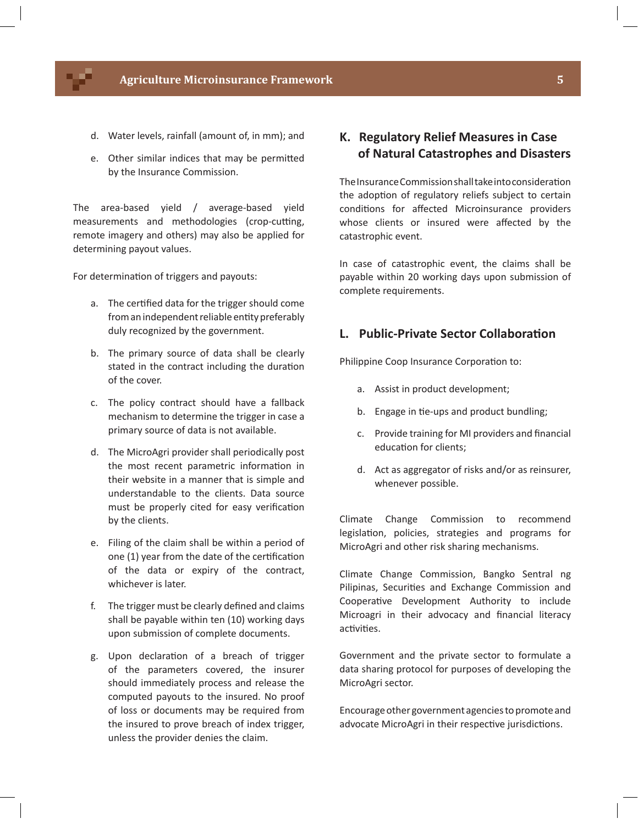#### **Agriculture Microinsurance Framework 5**

- d. Water levels, rainfall (amount of, in mm); and
- e. Other similar indices that may be permited by the Insurance Commission.

The area-based yield / average-based yield measurements and methodologies (crop-cutting, remote imagery and others) may also be applied for determining payout values.

For determination of triggers and payouts:

- a. The certified data for the trigger should come from an independent reliable entity preferably duly recognized by the government.
- b. The primary source of data shall be clearly stated in the contract including the duration of the cover.
- c. The policy contract should have a fallback mechanism to determine the trigger in case a primary source of data is not available.
- d. The MicroAgri provider shall periodically post the most recent parametric information in their website in a manner that is simple and understandable to the clients. Data source must be properly cited for easy verification by the clients.
- e. Filing of the claim shall be within a period of one (1) year from the date of the certification of the data or expiry of the contract, whichever is later.
- f. The trigger must be clearly defned and claims shall be payable within ten (10) working days upon submission of complete documents.
- g. Upon declaraton of a breach of trigger of the parameters covered, the insurer should immediately process and release the computed payouts to the insured. No proof of loss or documents may be required from the insured to prove breach of index trigger, unless the provider denies the claim.

# **K. Regulatory Relief Measures in Case of Natural Catastrophes and Disasters**

The Insurance Commission shall take into consideraton the adoption of regulatory reliefs subject to certain conditions for affected Microinsurance providers whose clients or insured were affected by the catastrophic event.

In case of catastrophic event, the claims shall be payable within 20 working days upon submission of complete requirements.

# **L. Public-Private Sector Collaboraton**

Philippine Coop Insurance Corporation to:

- a. Assist in product development;
- b. Engage in tie-ups and product bundling;
- c. Provide training for MI providers and fnancial education for clients;
- d. Act as aggregator of risks and/or as reinsurer, whenever possible.

Climate Change Commission to recommend legislation, policies, strategies and programs for MicroAgri and other risk sharing mechanisms.

Climate Change Commission, Bangko Sentral ng Pilipinas, Securites and Exchange Commission and Cooperative Development Authority to include Microagri in their advocacy and fnancial literacy activities.

Government and the private sector to formulate a data sharing protocol for purposes of developing the MicroAgri sector.

Encourage other government agencies to promote and advocate MicroAgri in their respective jurisdictions.